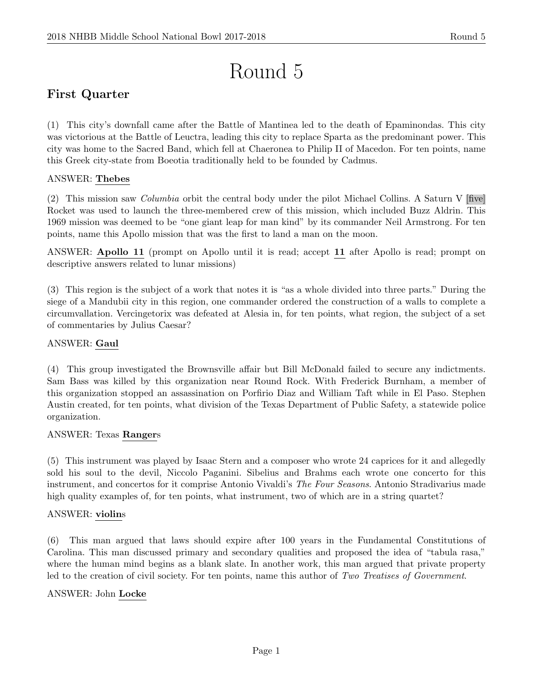# Round 5

# First Quarter

(1) This city's downfall came after the Battle of Mantinea led to the death of Epaminondas. This city was victorious at the Battle of Leuctra, leading this city to replace Sparta as the predominant power. This city was home to the Sacred Band, which fell at Chaeronea to Philip II of Macedon. For ten points, name this Greek city-state from Boeotia traditionally held to be founded by Cadmus.

## ANSWER: Thebes

(2) This mission saw Columbia orbit the central body under the pilot Michael Collins. A Saturn V [five] Rocket was used to launch the three-membered crew of this mission, which included Buzz Aldrin. This 1969 mission was deemed to be "one giant leap for man kind" by its commander Neil Armstrong. For ten points, name this Apollo mission that was the first to land a man on the moon.

ANSWER: Apollo 11 (prompt on Apollo until it is read; accept 11 after Apollo is read; prompt on descriptive answers related to lunar missions)

(3) This region is the subject of a work that notes it is "as a whole divided into three parts." During the siege of a Mandubii city in this region, one commander ordered the construction of a walls to complete a circumvallation. Vercingetorix was defeated at Alesia in, for ten points, what region, the subject of a set of commentaries by Julius Caesar?

#### ANSWER: Gaul

(4) This group investigated the Brownsville affair but Bill McDonald failed to secure any indictments. Sam Bass was killed by this organization near Round Rock. With Frederick Burnham, a member of this organization stopped an assassination on Porfirio Diaz and William Taft while in El Paso. Stephen Austin created, for ten points, what division of the Texas Department of Public Safety, a statewide police organization.

#### ANSWER: Texas Rangers

(5) This instrument was played by Isaac Stern and a composer who wrote 24 caprices for it and allegedly sold his soul to the devil, Niccolo Paganini. Sibelius and Brahms each wrote one concerto for this instrument, and concertos for it comprise Antonio Vivaldi's The Four Seasons. Antonio Stradivarius made high quality examples of, for ten points, what instrument, two of which are in a string quartet?

#### ANSWER: violins

(6) This man argued that laws should expire after 100 years in the Fundamental Constitutions of Carolina. This man discussed primary and secondary qualities and proposed the idea of "tabula rasa," where the human mind begins as a blank slate. In another work, this man argued that private property led to the creation of civil society. For ten points, name this author of Two Treatises of Government.

#### ANSWER: John Locke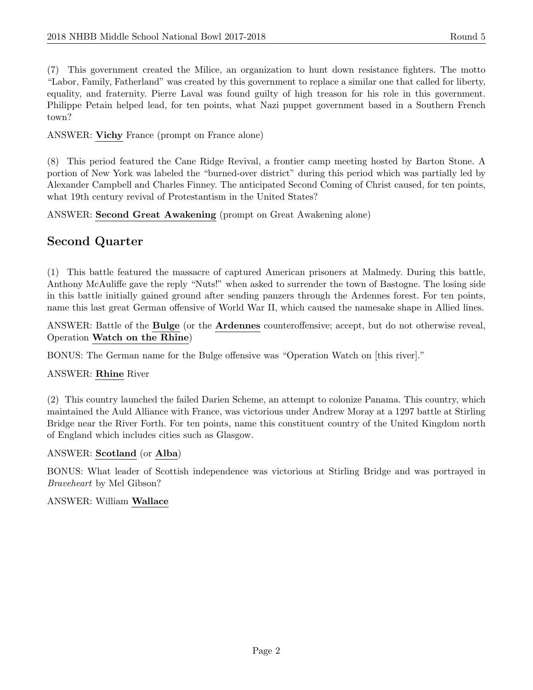(7) This government created the Milice, an organization to hunt down resistance fighters. The motto "Labor, Family, Fatherland" was created by this government to replace a similar one that called for liberty, equality, and fraternity. Pierre Laval was found guilty of high treason for his role in this government. Philippe Petain helped lead, for ten points, what Nazi puppet government based in a Southern French town?

ANSWER: Vichy France (prompt on France alone)

(8) This period featured the Cane Ridge Revival, a frontier camp meeting hosted by Barton Stone. A portion of New York was labeled the "burned-over district" during this period which was partially led by Alexander Campbell and Charles Finney. The anticipated Second Coming of Christ caused, for ten points, what 19th century revival of Protestantism in the United States?

ANSWER: Second Great Awakening (prompt on Great Awakening alone)

# Second Quarter

(1) This battle featured the massacre of captured American prisoners at Malmedy. During this battle, Anthony McAuliffe gave the reply "Nuts!" when asked to surrender the town of Bastogne. The losing side in this battle initially gained ground after sending panzers through the Ardennes forest. For ten points, name this last great German offensive of World War II, which caused the namesake shape in Allied lines.

ANSWER: Battle of the Bulge (or the Ardennes counteroffensive; accept, but do not otherwise reveal, Operation Watch on the Rhine)

BONUS: The German name for the Bulge offensive was "Operation Watch on [this river]."

#### ANSWER: Rhine River

(2) This country launched the failed Darien Scheme, an attempt to colonize Panama. This country, which maintained the Auld Alliance with France, was victorious under Andrew Moray at a 1297 battle at Stirling Bridge near the River Forth. For ten points, name this constituent country of the United Kingdom north of England which includes cities such as Glasgow.

#### ANSWER: Scotland (or Alba)

BONUS: What leader of Scottish independence was victorious at Stirling Bridge and was portrayed in Braveheart by Mel Gibson?

#### ANSWER: William Wallace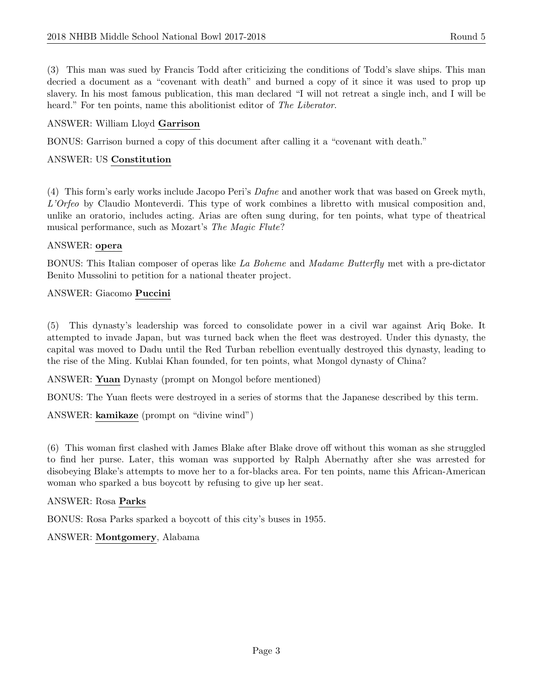(3) This man was sued by Francis Todd after criticizing the conditions of Todd's slave ships. This man decried a document as a "covenant with death" and burned a copy of it since it was used to prop up slavery. In his most famous publication, this man declared "I will not retreat a single inch, and I will be heard." For ten points, name this abolitionist editor of The Liberator.

## ANSWER: William Lloyd Garrison

BONUS: Garrison burned a copy of this document after calling it a "covenant with death."

#### ANSWER: US Constitution

(4) This form's early works include Jacopo Peri's Dafne and another work that was based on Greek myth, L'Orfeo by Claudio Monteverdi. This type of work combines a libretto with musical composition and, unlike an oratorio, includes acting. Arias are often sung during, for ten points, what type of theatrical musical performance, such as Mozart's The Magic Flute?

#### ANSWER: opera

BONUS: This Italian composer of operas like La Boheme and Madame Butterfly met with a pre-dictator Benito Mussolini to petition for a national theater project.

#### ANSWER: Giacomo Puccini

(5) This dynasty's leadership was forced to consolidate power in a civil war against Ariq Boke. It attempted to invade Japan, but was turned back when the fleet was destroyed. Under this dynasty, the capital was moved to Dadu until the Red Turban rebellion eventually destroyed this dynasty, leading to the rise of the Ming. Kublai Khan founded, for ten points, what Mongol dynasty of China?

ANSWER: Yuan Dynasty (prompt on Mongol before mentioned)

BONUS: The Yuan fleets were destroyed in a series of storms that the Japanese described by this term.

ANSWER: kamikaze (prompt on "divine wind")

(6) This woman first clashed with James Blake after Blake drove off without this woman as she struggled to find her purse. Later, this woman was supported by Ralph Abernathy after she was arrested for disobeying Blake's attempts to move her to a for-blacks area. For ten points, name this African-American woman who sparked a bus boycott by refusing to give up her seat.

#### ANSWER: Rosa Parks

BONUS: Rosa Parks sparked a boycott of this city's buses in 1955.

ANSWER: Montgomery, Alabama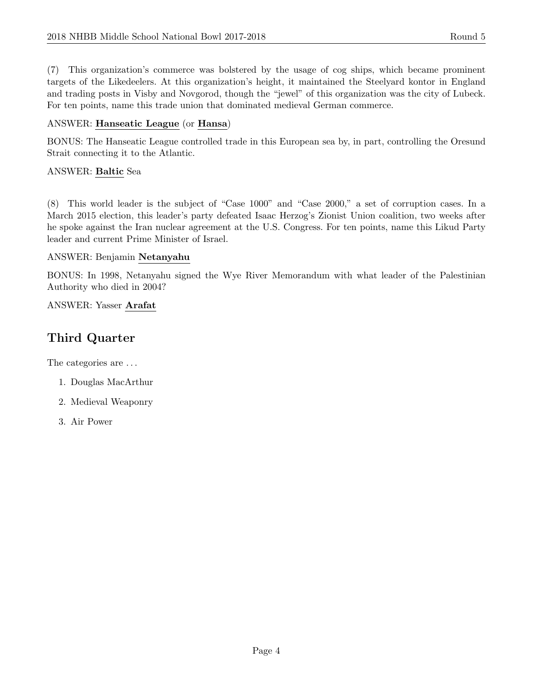(7) This organization's commerce was bolstered by the usage of cog ships, which became prominent targets of the Likedeelers. At this organization's height, it maintained the Steelyard kontor in England and trading posts in Visby and Novgorod, though the "jewel" of this organization was the city of Lubeck. For ten points, name this trade union that dominated medieval German commerce.

# ANSWER: Hanseatic League (or Hansa)

BONUS: The Hanseatic League controlled trade in this European sea by, in part, controlling the Oresund Strait connecting it to the Atlantic.

# ANSWER: Baltic Sea

(8) This world leader is the subject of "Case 1000" and "Case 2000," a set of corruption cases. In a March 2015 election, this leader's party defeated Isaac Herzog's Zionist Union coalition, two weeks after he spoke against the Iran nuclear agreement at the U.S. Congress. For ten points, name this Likud Party leader and current Prime Minister of Israel.

# ANSWER: Benjamin Netanyahu

BONUS: In 1998, Netanyahu signed the Wye River Memorandum with what leader of the Palestinian Authority who died in 2004?

# ANSWER: Yasser Arafat

# Third Quarter

The categories are  $\dots$ 

- 1. Douglas MacArthur
- 2. Medieval Weaponry
- 3. Air Power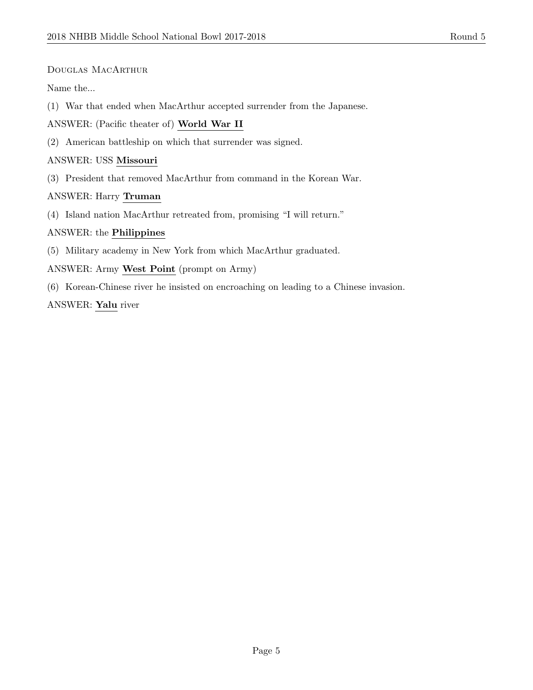#### Douglas MacArthur

Name the...

(1) War that ended when MacArthur accepted surrender from the Japanese.

ANSWER: (Pacific theater of) World War II

(2) American battleship on which that surrender was signed.

#### ANSWER: USS Missouri

(3) President that removed MacArthur from command in the Korean War.

#### ANSWER: Harry Truman

(4) Island nation MacArthur retreated from, promising "I will return."

#### ANSWER: the Philippines

(5) Military academy in New York from which MacArthur graduated.

#### ANSWER: Army West Point (prompt on Army)

(6) Korean-Chinese river he insisted on encroaching on leading to a Chinese invasion.

#### ANSWER: Yalu river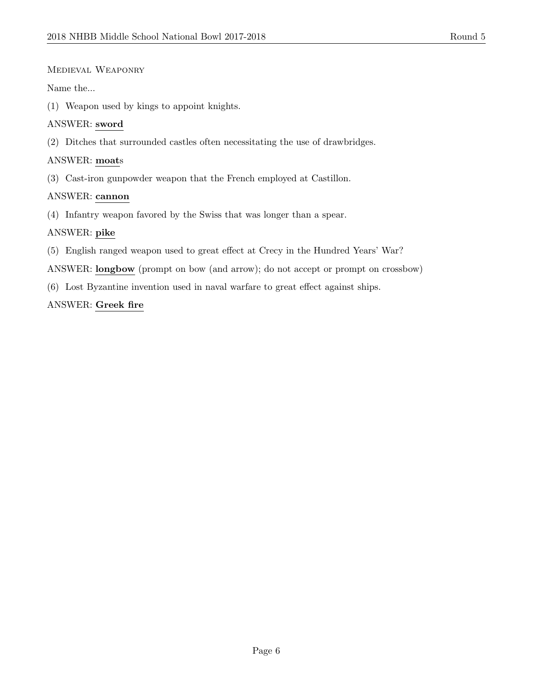#### Medieval Weaponry

#### Name the...

(1) Weapon used by kings to appoint knights.

#### ANSWER: sword

(2) Ditches that surrounded castles often necessitating the use of drawbridges.

#### ANSWER: moats

(3) Cast-iron gunpowder weapon that the French employed at Castillon.

#### ANSWER: cannon

(4) Infantry weapon favored by the Swiss that was longer than a spear.

#### ANSWER: pike

- (5) English ranged weapon used to great effect at Crecy in the Hundred Years' War?
- ANSWER: longbow (prompt on bow (and arrow); do not accept or prompt on crossbow)
- (6) Lost Byzantine invention used in naval warfare to great effect against ships.

#### ANSWER: Greek fire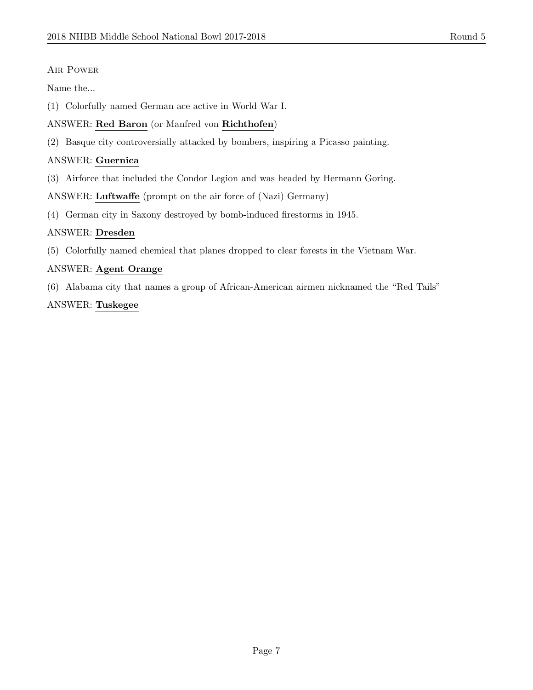#### Air Power

Name the...

(1) Colorfully named German ace active in World War I.

# ANSWER: Red Baron (or Manfred von Richthofen)

(2) Basque city controversially attacked by bombers, inspiring a Picasso painting.

## ANSWER: Guernica

(3) Airforce that included the Condor Legion and was headed by Hermann Goring.

ANSWER: Luftwaffe (prompt on the air force of (Nazi) Germany)

(4) German city in Saxony destroyed by bomb-induced firestorms in 1945.

## ANSWER: Dresden

(5) Colorfully named chemical that planes dropped to clear forests in the Vietnam War.

## ANSWER: Agent Orange

(6) Alabama city that names a group of African-American airmen nicknamed the "Red Tails"

#### ANSWER: Tuskegee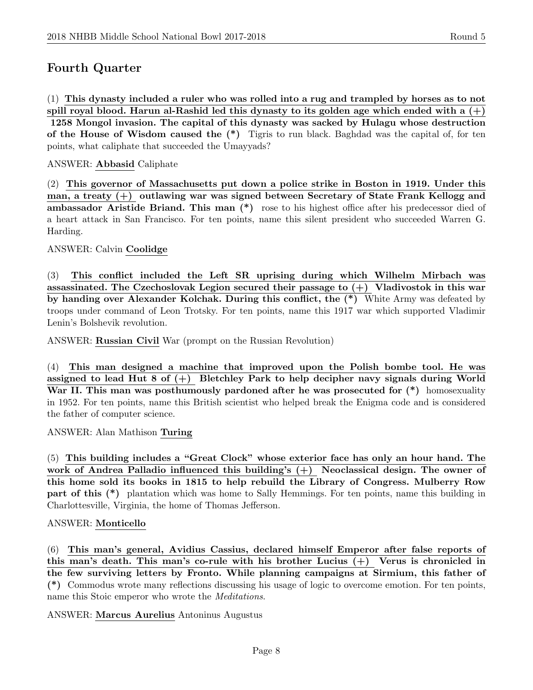# Fourth Quarter

(1) This dynasty included a ruler who was rolled into a rug and trampled by horses as to not spill royal blood. Harun al-Rashid led this dynasty to its golden age which ended with a  $(+)$ 1258 Mongol invasion. The capital of this dynasty was sacked by Hulagu whose destruction of the House of Wisdom caused the  $(*)$  Tigris to run black. Baghdad was the capital of, for ten points, what caliphate that succeeded the Umayyads?

#### ANSWER: Abbasid Caliphate

(2) This governor of Massachusetts put down a police strike in Boston in 1919. Under this man, a treaty (+) outlawing war was signed between Secretary of State Frank Kellogg and ambassador Aristide Briand. This man (\*) rose to his highest office after his predecessor died of a heart attack in San Francisco. For ten points, name this silent president who succeeded Warren G. Harding.

#### ANSWER: Calvin Coolidge

(3) This conflict included the Left SR uprising during which Wilhelm Mirbach was assassinated. The Czechoslovak Legion secured their passage to  $(+)$  Vladivostok in this war by handing over Alexander Kolchak. During this conflict, the (\*) White Army was defeated by troops under command of Leon Trotsky. For ten points, name this 1917 war which supported Vladimir Lenin's Bolshevik revolution.

ANSWER: Russian Civil War (prompt on the Russian Revolution)

(4) This man designed a machine that improved upon the Polish bombe tool. He was assigned to lead Hut 8 of  $(+)$  Bletchley Park to help decipher navy signals during World War II. This man was posthumously pardoned after he was prosecuted for  $(*)$  homosexuality in 1952. For ten points, name this British scientist who helped break the Enigma code and is considered the father of computer science.

ANSWER: Alan Mathison Turing

(5) This building includes a "Great Clock" whose exterior face has only an hour hand. The work of Andrea Palladio influenced this building's (+) Neoclassical design. The owner of this home sold its books in 1815 to help rebuild the Library of Congress. Mulberry Row part of this (\*) plantation which was home to Sally Hemmings. For ten points, name this building in Charlottesville, Virginia, the home of Thomas Jefferson.

#### ANSWER: Monticello

(6) This man's general, Avidius Cassius, declared himself Emperor after false reports of this man's death. This man's co-rule with his brother Lucius  $(+)$  Verus is chronicled in the few surviving letters by Fronto. While planning campaigns at Sirmium, this father of (\*) Commodus wrote many reflections discussing his usage of logic to overcome emotion. For ten points, name this Stoic emperor who wrote the Meditations.

ANSWER: Marcus Aurelius Antoninus Augustus